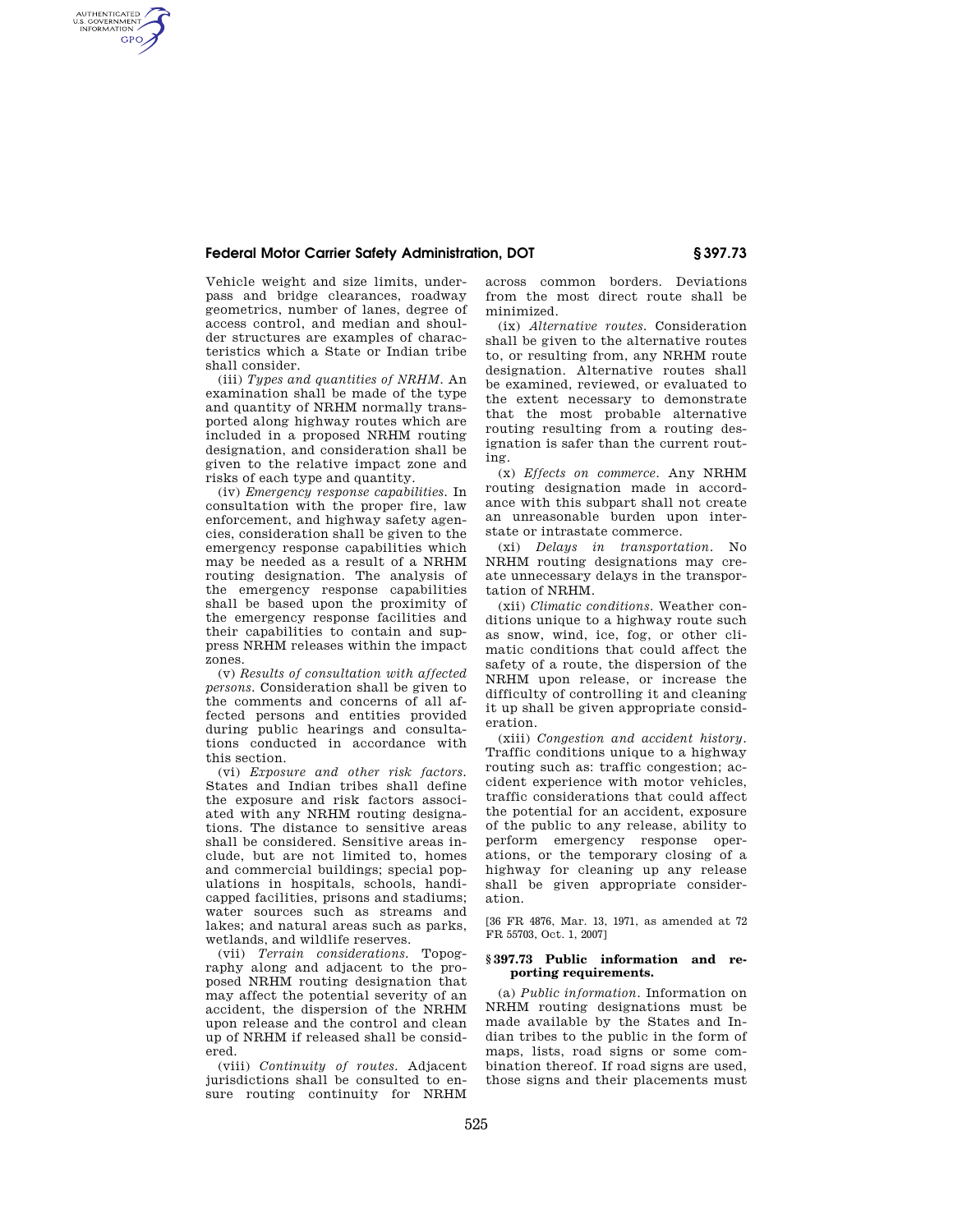## **Federal Motor Carrier Safety Administration, DOT § 397.73**

across common borders. Deviations

Vehicle weight and size limits, underpass and bridge clearances, roadway geometrics, number of lanes, degree of access control, and median and shoulder structures are examples of characteristics which a State or Indian tribe shall consider.

AUTHENTICATED<br>U.S. GOVERNMENT<br>INFORMATION **GPO** 

> (iii) *Types and quantities of NRHM.* An examination shall be made of the type and quantity of NRHM normally transported along highway routes which are included in a proposed NRHM routing designation, and consideration shall be given to the relative impact zone and risks of each type and quantity.

> (iv) *Emergency response capabilities.* In consultation with the proper fire, law enforcement, and highway safety agencies, consideration shall be given to the emergency response capabilities which may be needed as a result of a NRHM routing designation. The analysis of the emergency response capabilities shall be based upon the proximity of the emergency response facilities and their capabilities to contain and suppress NRHM releases within the impact zones.

> (v) *Results of consultation with affected persons.* Consideration shall be given to the comments and concerns of all affected persons and entities provided during public hearings and consultations conducted in accordance with this section.

> (vi) *Exposure and other risk factors.*  States and Indian tribes shall define the exposure and risk factors associated with any NRHM routing designations. The distance to sensitive areas shall be considered. Sensitive areas include, but are not limited to, homes and commercial buildings; special populations in hospitals, schools, handicapped facilities, prisons and stadiums; water sources such as streams and lakes; and natural areas such as parks, wetlands, and wildlife reserves.

> (vii) *Terrain considerations.* Topography along and adjacent to the proposed NRHM routing designation that may affect the potential severity of an accident, the dispersion of the NRHM upon release and the control and clean up of NRHM if released shall be considered.

> (viii) *Continuity of routes.* Adjacent jurisdictions shall be consulted to ensure routing continuity for NRHM

(ix) *Alternative routes.* Consideration shall be given to the alternative routes to, or resulting from, any NRHM route designation. Alternative routes shall be examined, reviewed, or evaluated to the extent necessary to demonstrate that the most probable alternative routing resulting from a routing designation is safer than the current routing.

from the most direct route shall be

minimized.

(x) *Effects on commerce.* Any NRHM routing designation made in accordance with this subpart shall not create an unreasonable burden upon interstate or intrastate commerce.

(xi) *Delays in transportation.* No NRHM routing designations may create unnecessary delays in the transportation of NRHM.

(xii) *Climatic conditions.* Weather conditions unique to a highway route such as snow, wind, ice, fog, or other climatic conditions that could affect the safety of a route, the dispersion of the NRHM upon release, or increase the difficulty of controlling it and cleaning it up shall be given appropriate consideration.

(xiii) *Congestion and accident history.*  Traffic conditions unique to a highway routing such as: traffic congestion; accident experience with motor vehicles, traffic considerations that could affect the potential for an accident, exposure of the public to any release, ability to perform emergency response operations, or the temporary closing of a highway for cleaning up any release shall be given appropriate consideration.

[36 FR 4876, Mar. 13, 1971, as amended at 72 FR 55703, Oct. 1, 2007]

## **§ 397.73 Public information and reporting requirements.**

(a) *Public information.* Information on NRHM routing designations must be made available by the States and Indian tribes to the public in the form of maps, lists, road signs or some combination thereof. If road signs are used, those signs and their placements must